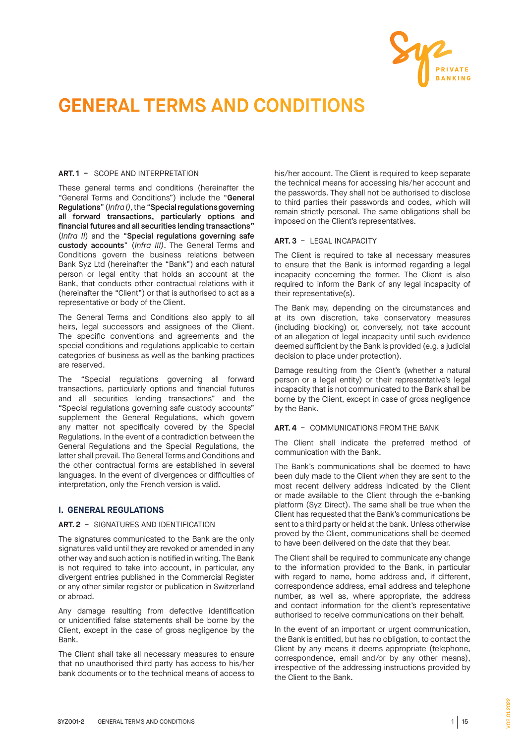

# GENERAL TERMS AND CONDITIONS

# **ART. 1** – SCOPE AND INTERPRETATION

These general terms and conditions (hereinafter the "General Terms and Conditions") include the "**G**eneral Regulations" (*Infra I)*, the "Special regulations governing all forward transactions, particularly options and financial futures and all securities lending transactions**"**  (*Infra II*) and the "Special regulations governing safe custody accounts" (*Infra III)*. The General Terms and Conditions govern the business relations between Bank Syz Ltd (hereinafter the "Bank") and each natural person or legal entity that holds an account at the Bank, that conducts other contractual relations with it (hereinafter the "Client") or that is authorised to act as a representative or body of the Client.

The General Terms and Conditions also apply to all heirs, legal successors and assignees of the Client. The specific conventions and agreements and the special conditions and regulations applicable to certain categories of business as well as the banking practices are reserved.

The "Special regulations governing all forward transactions, particularly options and financial futures and all securities lending transactions" and the "Special regulations governing safe custody accounts" supplement the General Regulations, which govern any matter not specifically covered by the Special Regulations. In the event of a contradiction between the General Regulations and the Special Regulations, the latter shall prevail. The General Terms and Conditions and the other contractual forms are established in several languages. In the event of divergences or difficulties of interpretation, only the French version is valid.

# **I. GENERAL REGULATIONS**

# **ART. 2** – SIGNATURES AND IDENTIFICATION

The signatures communicated to the Bank are the only signatures valid until they are revoked or amended in any other way and such action is notified in writing. The Bank is not required to take into account, in particular, any divergent entries published in the Commercial Register or any other similar register or publication in Switzerland or abroad.

Any damage resulting from defective identification or unidentified false statements shall be borne by the Client, except in the case of gross negligence by the Bank.

The Client shall take all necessary measures to ensure that no unauthorised third party has access to his/her bank documents or to the technical means of access to his/her account. The Client is required to keep separate the technical means for accessing his/her account and the passwords. They shall not be authorised to disclose to third parties their passwords and codes, which will remain strictly personal. The same obligations shall be imposed on the Client's representatives.

# **ART. 3** – LEGAL INCAPACITY

The Client is required to take all necessary measures to ensure that the Bank is informed regarding a legal incapacity concerning the former. The Client is also required to inform the Bank of any legal incapacity of their representative(s).

The Bank may, depending on the circumstances and at its own discretion, take conservatory measures (including blocking) or, conversely, not take account of an allegation of legal incapacity until such evidence deemed sufficient by the Bank is provided (e.g. a judicial decision to place under protection).

Damage resulting from the Client's (whether a natural person or a legal entity) or their representative's legal incapacity that is not communicated to the Bank shall be borne by the Client, except in case of gross negligence by the Bank.

# **ART. 4** – COMMUNICATIONS FROM THE BANK

The Client shall indicate the preferred method of communication with the Bank.

The Bank's communications shall be deemed to have been duly made to the Client when they are sent to the most recent delivery address indicated by the Client or made available to the Client through the e-banking platform (Syz Direct). The same shall be true when the Client has requested that the Bank's communications be sent to a third party or held at the bank. Unless otherwise proved by the Client, communications shall be deemed to have been delivered on the date that they bear.

The Client shall be required to communicate any change to the information provided to the Bank, in particular with regard to name, home address and, if different, correspondence address, email address and telephone number, as well as, where appropriate, the address and contact information for the client's representative authorised to receive communications on their behalf.

In the event of an important or urgent communication, the Bank is entitled, but has no obligation, to contact the Client by any means it deems appropriate (telephone, correspondence, email and/or by any other means), irrespective of the addressing instructions provided by the Client to the Bank.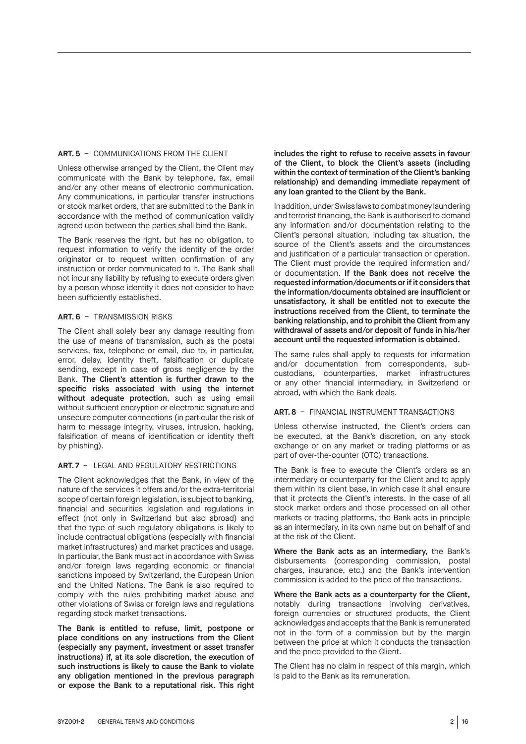## **ART. 5** – COMMUNICATIONS FROM THE CLIENT

Unless otherwise arranged by the Client, the Client may communicate with the Bank by telephone, fax, email and/or any other means of electronic communication. Any communications, in particular transfer instructions or stock market orders, that are submitted to the Bank in accordance with the method of communication validly agreed upon between the parties shall bind the Bank.

The Bank reserves the right, but has no obligation, to request information to verify the identity of the order originator or to request written confirmation of any instruction or order communicated to it. The Bank shall not incur any liability by refusing to execute orders given by a person whose identity it does not consider to have been sufficiently established.

## **ART. 6** – TRANSMISSION RISKS

The Client shall solely bear any damage resulting from the use of means of transmission, such as the postal services, fax, telephone or email, due to, in particular, error, delay, identity theft, falsification or duplicate sending, except in case of gross negligence by the Bank. The Client's attention is further drawn to the specific risks associated with using the internet without adequate protection, such as using email without sufficient encryption or electronic signature and unsecure computer connections (in particular the risk of harm to message integrity, viruses, intrusion, hacking, falsification of means of identification or identity theft by phishing).

#### **ART. 7** – LEGAL AND REGULATORY RESTRICTIONS

The Client acknowledges that the Bank, in view of the nature of the services it offers and/or the extra-territorial scope of certain foreign legislation, is subject to banking, financial and securities legislation and regulations in effect (not only in Switzerland but also abroad) and that the type of such regulatory obligations is likely to include contractual obligations (especially with financial market infrastructures) and market practices and usage. In particular, the Bank must act in accordance with Swiss and/or foreign laws regarding economic or financial sanctions imposed by Switzerland, the European Union and the United Nations. The Bank is also required to comply with the rules prohibiting market abuse and other violations of Swiss or foreign laws and regulations regarding stock market transactions.

The Bank is entitled to refuse, limit, postpone or place conditions on any instructions from the Client (especially any payment, investment or asset transfer instructions) if, at its sole discretion, the execution of such instructions is likely to cause the Bank to violate any obligation mentioned in the previous paragraph or expose the Bank to a reputational risk. This right

includes the right to refuse to receive assets in favour of the Client, to block the Client's assets (including within the context of termination of the Client's banking relationship) and demanding immediate repayment of any loan granted to the Client by the Bank.

In addition, under Swiss laws to combat money laundering and terrorist financing, the Bank is authorised to demand any information and/or documentation relating to the Client's personal situation, including tax situation, the source of the Client's assets and the circumstances and justification of a particular transaction or operation. The Client must provide the required information and/ or documentation. If the Bank does not receive the requested information/documents or if it considers that the information/documents obtained are insufficient or unsatisfactory, it shall be entitled not to execute the instructions received from the Client, to terminate the banking relationship, and to prohibit the Client from any withdrawal of assets and/or deposit of funds in his/her account until the requested information is obtained.

The same rules shall apply to requests for information and/or documentation from correspondents, subcustodians, counterparties, market infrastructures or any other financial intermediary, in Switzerland or abroad, with which the Bank deals.

#### **ART. 8** – FINANCIAL INSTRUMENT TRANSACTIONS

Unless otherwise instructed, the Client's orders can be executed, at the Bank's discretion, on any stock exchange or on any market or trading platforms or as part of over-the-counter (OTC) transactions.

The Bank is free to execute the Client's orders as an intermediary or counterparty for the Client and to apply them within its client base, in which case it shall ensure that it protects the Client's interests. In the case of all stock market orders and those processed on all other markets or trading platforms, the Bank acts in principle as an intermediary, in its own name but on behalf of and at the risk of the Client.

Where the Bank acts as an intermediary, the Bank's disbursements (corresponding commission, postal charges, insurance, etc.) and the Bank's intervention commission is added to the price of the transactions.

Where the Bank acts as a counterparty for the Client, notably during transactions involving derivatives, foreign currencies or structured products, the Client acknowledges and accepts that the Bank is remunerated not in the form of a commission but by the margin between the price at which it conducts the transaction and the price provided to the Client.

The Client has no claim in respect of this margin, which is paid to the Bank as its remuneration.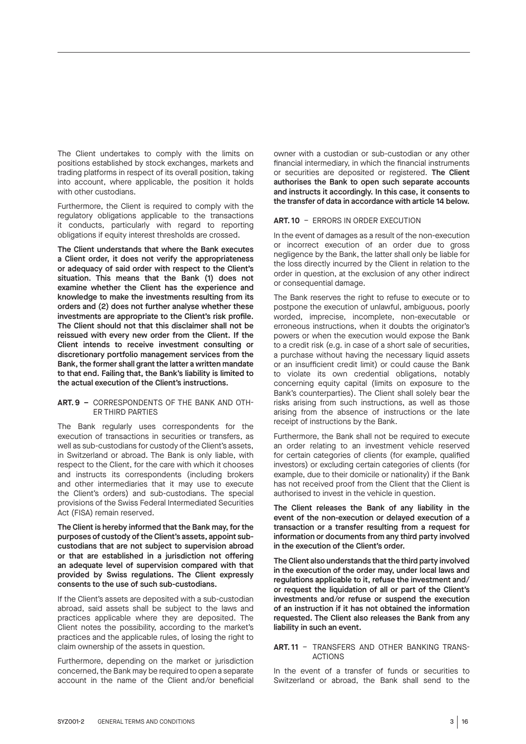The Client undertakes to comply with the limits on positions established by stock exchanges, markets and trading platforms in respect of its overall position, taking into account, where applicable, the position it holds with other custodians.

Furthermore, the Client is required to comply with the regulatory obligations applicable to the transactions it conducts, particularly with regard to reporting obligations if equity interest thresholds are crossed.

The Client understands that where the Bank executes a Client order, it does not verify the appropriateness or adequacy of said order with respect to the Client's situation. This means that the Bank (1) does not examine whether the Client has the experience and knowledge to make the investments resulting from its orders and (2) does not further analyse whether these investments are appropriate to the Client's risk profile. The Client should not that this disclaimer shall not be reissued with every new order from the Client. If the Client intends to receive investment consulting or discretionary portfolio management services from the Bank, the former shall grant the latter a written mandate to that end. Failing that, the Bank's liability is limited to the actual execution of the Client's instructions.

#### **ART. 9 –** CORRESPONDENTS OF THE BANK AND OTH-ER THIRD PARTIES

The Bank regularly uses correspondents for the execution of transactions in securities or transfers, as well as sub-custodians for custody of the Client's assets, in Switzerland or abroad. The Bank is only liable, with respect to the Client, for the care with which it chooses and instructs its correspondents (including brokers and other intermediaries that it may use to execute the Client's orders) and sub-custodians. The special provisions of the Swiss Federal Intermediated Securities Act (FISA) remain reserved.

The Client is hereby informed that the Bank may, for the purposes of custody of the Client's assets, appoint subcustodians that are not subject to supervision abroad or that are established in a jurisdiction not offering an adequate level of supervision compared with that provided by Swiss regulations. The Client expressly consents to the use of such sub-custodians.

If the Client's assets are deposited with a sub-custodian abroad, said assets shall be subject to the laws and practices applicable where they are deposited. The Client notes the possibility, according to the market's practices and the applicable rules, of losing the right to claim ownership of the assets in question.

Furthermore, depending on the market or jurisdiction concerned, the Bank may be required to open a separate account in the name of the Client and/or beneficial

owner with a custodian or sub-custodian or any other financial intermediary, in which the financial instruments or securities are deposited or registered. The Client authorises the Bank to open such separate accounts and instructs it accordingly. In this case, it consents to the transfer of data in accordance with article 14 below.

#### **ART. 10** – ERRORS IN ORDER EXECUTION

In the event of damages as a result of the non-execution or incorrect execution of an order due to gross negligence by the Bank, the latter shall only be liable for the loss directly incurred by the Client in relation to the order in question, at the exclusion of any other indirect or consequential damage.

The Bank reserves the right to refuse to execute or to postpone the execution of unlawful, ambiguous, poorly worded, imprecise, incomplete, non-executable or erroneous instructions, when it doubts the originator's powers or when the execution would expose the Bank to a credit risk (e.g. in case of a short sale of securities, a purchase without having the necessary liquid assets or an insufficient credit limit) or could cause the Bank to violate its own credential obligations, notably concerning equity capital (limits on exposure to the Bank's counterparties). The Client shall solely bear the risks arising from such instructions, as well as those arising from the absence of instructions or the late receipt of instructions by the Bank.

Furthermore, the Bank shall not be required to execute an order relating to an investment vehicle reserved for certain categories of clients (for example, qualified investors) or excluding certain categories of clients (for example, due to their domicile or nationality) if the Bank has not received proof from the Client that the Client is authorised to invest in the vehicle in question.

The Client releases the Bank of any liability in the event of the non-execution or delayed execution of a transaction or a transfer resulting from a request for information or documents from any third party involved in the execution of the Client's order.

The Client also understands that the third party involved in the execution of the order may, under local laws and regulations applicable to it, refuse the investment and/ or request the liquidation of all or part of the Client's investments and/or refuse or suspend the execution of an instruction if it has not obtained the information requested. The Client also releases the Bank from any liability in such an event.

#### **ART. 11** – TRANSFERS AND OTHER BANKING TRANS-ACTIONS

In the event of a transfer of funds or securities to Switzerland or abroad, the Bank shall send to the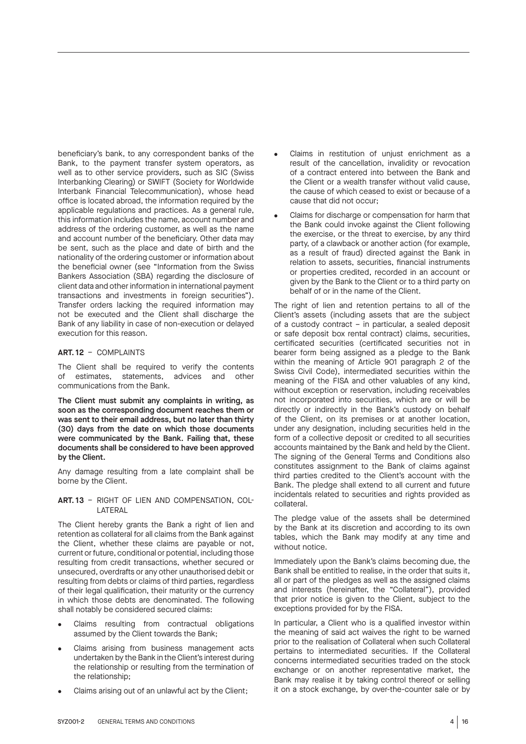beneficiary's bank, to any correspondent banks of the Bank, to the payment transfer system operators, as well as to other service providers, such as SIC (Swiss Interbanking Clearing) or SWIFT (Society for Worldwide Interbank Financial Telecommunication), whose head office is located abroad, the information required by the applicable regulations and practices. As a general rule, this information includes the name, account number and address of the ordering customer, as well as the name and account number of the beneficiary. Other data may be sent, such as the place and date of birth and the nationality of the ordering customer or information about the beneficial owner (see "Information from the Swiss Bankers Association (SBA) regarding the disclosure of client data and other information in international payment transactions and investments in foreign securities"). Transfer orders lacking the required information may not be executed and the Client shall discharge the Bank of any liability in case of non-execution or delayed execution for this reason.

#### **ART. 12** – COMPLAINTS

The Client shall be required to verify the contents of estimates, statements, advices and other communications from the Bank.

The Client must submit any complaints in writing, as soon as the corresponding document reaches them or was sent to their email address, but no later than thirty (30) days from the date on which those documents were communicated by the Bank. Failing that, these documents shall be considered to have been approved by the Client.

Any damage resulting from a late complaint shall be borne by the Client.

#### **ART. 13** – RIGHT OF LIEN AND COMPENSATION, COL-LATERAL

The Client hereby grants the Bank a right of lien and retention as collateral for all claims from the Bank against the Client, whether these claims are payable or not, current or future, conditional or potential, including those resulting from credit transactions, whether secured or unsecured, overdrafts or any other unauthorised debit or resulting from debts or claims of third parties, regardless of their legal qualification, their maturity or the currency in which those debts are denominated. The following shall notably be considered secured claims:

- Claims resulting from contractual obligations assumed by the Client towards the Bank;
- Claims arising from business management acts undertaken by the Bank in the Client's interest during the relationship or resulting from the termination of the relationship;
- Claims arising out of an unlawful act by the Client;
- Claims in restitution of unjust enrichment as a result of the cancellation, invalidity or revocation of a contract entered into between the Bank and the Client or a wealth transfer without valid cause, the cause of which ceased to exist or because of a cause that did not occur;
- Claims for discharge or compensation for harm that the Bank could invoke against the Client following the exercise, or the threat to exercise, by any third party, of a clawback or another action (for example, as a result of fraud) directed against the Bank in relation to assets, securities, financial instruments or properties credited, recorded in an account or given by the Bank to the Client or to a third party on behalf of or in the name of the Client.

The right of lien and retention pertains to all of the Client's assets (including assets that are the subject of a custody contract – in particular, a sealed deposit or safe deposit box rental contract) claims, securities, certificated securities (certificated securities not in bearer form being assigned as a pledge to the Bank within the meaning of Article 901 paragraph 2 of the Swiss Civil Code), intermediated securities within the meaning of the FISA and other valuables of any kind, without exception or reservation, including receivables not incorporated into securities, which are or will be directly or indirectly in the Bank's custody on behalf of the Client, on its premises or at another location, under any designation, including securities held in the form of a collective deposit or credited to all securities accounts maintained by the Bank and held by the Client. The signing of the General Terms and Conditions also constitutes assignment to the Bank of claims against third parties credited to the Client's account with the Bank. The pledge shall extend to all current and future incidentals related to securities and rights provided as collateral.

The pledge value of the assets shall be determined by the Bank at its discretion and according to its own tables, which the Bank may modify at any time and without notice.

Immediately upon the Bank's claims becoming due, the Bank shall be entitled to realise, in the order that suits it, all or part of the pledges as well as the assigned claims and interests (hereinafter, the "Collateral"), provided that prior notice is given to the Client, subject to the exceptions provided for by the FISA.

In particular, a Client who is a qualified investor within the meaning of said act waives the right to be warned prior to the realisation of Collateral when such Collateral pertains to intermediated securities. If the Collateral concerns intermediated securities traded on the stock exchange or on another representative market, the Bank may realise it by taking control thereof or selling it on a stock exchange, by over-the-counter sale or by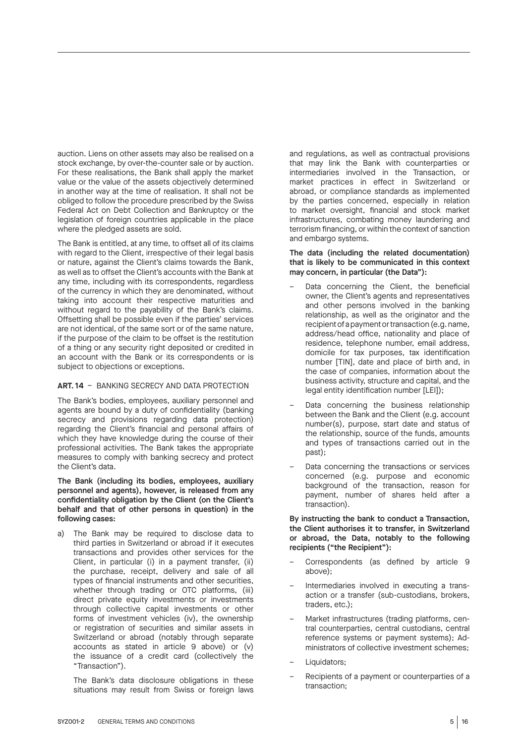auction. Liens on other assets may also be realised on a stock exchange, by over-the-counter sale or by auction. For these realisations, the Bank shall apply the market value or the value of the assets objectively determined in another way at the time of realisation. It shall not be obliged to follow the procedure prescribed by the Swiss Federal Act on Debt Collection and Bankruptcy or the legislation of foreign countries applicable in the place where the pledged assets are sold.

The Bank is entitled, at any time, to offset all of its claims with regard to the Client, irrespective of their legal basis or nature, against the Client's claims towards the Bank, as well as to offset the Client's accounts with the Bank at any time, including with its correspondents, regardless of the currency in which they are denominated, without taking into account their respective maturities and without regard to the payability of the Bank's claims. Offsetting shall be possible even if the parties' services are not identical, of the same sort or of the same nature, if the purpose of the claim to be offset is the restitution of a thing or any security right deposited or credited in an account with the Bank or its correspondents or is subject to objections or exceptions.

#### **ART. 14** – BANKING SECRECY AND DATA PROTECTION

The Bank's bodies, employees, auxiliary personnel and agents are bound by a duty of confidentiality (banking secrecy and provisions regarding data protection) regarding the Client's financial and personal affairs of which they have knowledge during the course of their professional activities. The Bank takes the appropriate measures to comply with banking secrecy and protect the Client's data.

The Bank (including its bodies, employees, auxiliary personnel and agents), however, is released from any confidentiality obligation by the Client (on the Client's behalf and that of other persons in question) in the following cases:

a) The Bank may be required to disclose data to third parties in Switzerland or abroad if it executes transactions and provides other services for the Client, in particular (i) in a payment transfer, (ii) the purchase, receipt, delivery and sale of all types of financial instruments and other securities, whether through trading or OTC platforms, (iii) direct private equity investments or investments through collective capital investments or other forms of investment vehicles (iv), the ownership or registration of securities and similar assets in Switzerland or abroad (notably through separate accounts as stated in article 9 above) or (v) the issuance of a credit card (collectively the "Transaction").

The Bank's data disclosure obligations in these situations may result from Swiss or foreign laws and regulations, as well as contractual provisions that may link the Bank with counterparties or intermediaries involved in the Transaction, or market practices in effect in Switzerland or abroad, or compliance standards as implemented by the parties concerned, especially in relation to market oversight, financial and stock market infrastructures, combating money laundering and terrorism financing, or within the context of sanction and embargo systems.

#### The data (including the related documentation) that is likely to be communicated in this context may concern, in particular (the Data"):

- Data concerning the Client, the beneficial owner, the Client's agents and representatives and other persons involved in the banking relationship, as well as the originator and the recipient of a payment or transaction (e.g. name, address/head office, nationality and place of residence, telephone number, email address, domicile for tax purposes, tax identification number [TIN], date and place of birth and, in the case of companies, information about the business activity, structure and capital, and the legal entity identification number [LEI]);
- Data concerning the business relationship between the Bank and the Client (e.g. account number(s), purpose, start date and status of the relationship, source of the funds, amounts and types of transactions carried out in the past);
- Data concerning the transactions or services concerned (e.g. purpose and economic background of the transaction, reason for payment, number of shares held after a transaction).

By instructing the bank to conduct a Transaction, the Client authorises it to transfer, in Switzerland or abroad, the Data, notably to the following recipients ("the Recipient"):

- Correspondents (as defined by article 9 above);
- Intermediaries involved in executing a transaction or a transfer (sub-custodians, brokers, traders, etc.);
- Market infrastructures (trading platforms, central counterparties, central custodians, central reference systems or payment systems); Administrators of collective investment schemes;
- Liquidators:
- Recipients of a payment or counterparties of a transaction;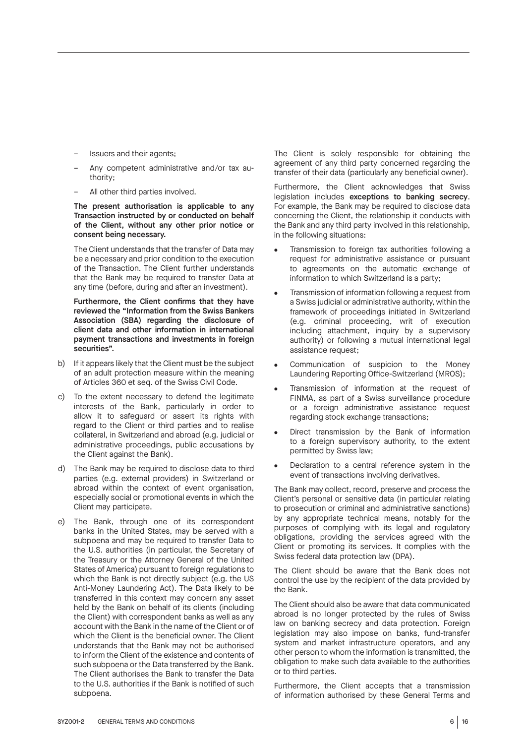- Issuers and their agents;
- Any competent administrative and/or tax authority;
- All other third parties involved.

The present authorisation is applicable to any Transaction instructed by or conducted on behalf of the Client, without any other prior notice or consent being necessary.

The Client understands that the transfer of Data may be a necessary and prior condition to the execution of the Transaction. The Client further understands that the Bank may be required to transfer Data at any time (before, during and after an investment).

Furthermore, the Client confirms that they have reviewed the "Information from the Swiss Bankers Association (SBA) regarding the disclosure of client data and other information in international payment transactions and investments in foreign securities".

- b) If it appears likely that the Client must be the subject of an adult protection measure within the meaning of Articles 360 et seq. of the Swiss Civil Code.
- c) To the extent necessary to defend the legitimate interests of the Bank, particularly in order to allow it to safeguard or assert its rights with regard to the Client or third parties and to realise collateral, in Switzerland and abroad (e.g. judicial or administrative proceedings, public accusations by the Client against the Bank).
- d) The Bank may be required to disclose data to third parties (e.g. external providers) in Switzerland or abroad within the context of event organisation, especially social or promotional events in which the Client may participate.
- e) The Bank, through one of its correspondent banks in the United States, may be served with a subpoena and may be required to transfer Data to the U.S. authorities (in particular, the Secretary of the Treasury or the Attorney General of the United States of America) pursuant to foreign regulations to which the Bank is not directly subject (e.g. the US Anti-Money Laundering Act). The Data likely to be transferred in this context may concern any asset held by the Bank on behalf of its clients (including the Client) with correspondent banks as well as any account with the Bank in the name of the Client or of which the Client is the beneficial owner. The Client understands that the Bank may not be authorised to inform the Client of the existence and contents of such subpoena or the Data transferred by the Bank. The Client authorises the Bank to transfer the Data to the U.S. authorities if the Bank is notified of such subpoena.

The Client is solely responsible for obtaining the agreement of any third party concerned regarding the transfer of their data (particularly any beneficial owner).

Furthermore, the Client acknowledges that Swiss legislation includes exceptions to banking secrecy. For example, the Bank may be required to disclose data concerning the Client, the relationship it conducts with the Bank and any third party involved in this relationship, in the following situations:

- Transmission to foreign tax authorities following a request for administrative assistance or pursuant to agreements on the automatic exchange of information to which Switzerland is a party;
- Transmission of information following a request from a Swiss judicial or administrative authority, within the framework of proceedings initiated in Switzerland (e.g. criminal proceeding, writ of execution including attachment, inquiry by a supervisory authority) or following a mutual international legal assistance request;
- Communication of suspicion to the Money Laundering Reporting Office-Switzerland (MROS);
- Transmission of information at the request of FINMA, as part of a Swiss surveillance procedure or a foreign administrative assistance request regarding stock exchange transactions;
- Direct transmission by the Bank of information to a foreign supervisory authority, to the extent permitted by Swiss law;
- Declaration to a central reference system in the event of transactions involving derivatives.

The Bank may collect, record, preserve and process the Client's personal or sensitive data (in particular relating to prosecution or criminal and administrative sanctions) by any appropriate technical means, notably for the purposes of complying with its legal and regulatory obligations, providing the services agreed with the Client or promoting its services. It complies with the Swiss federal data protection law (DPA).

The Client should be aware that the Bank does not control the use by the recipient of the data provided by the Bank.

The Client should also be aware that data communicated abroad is no longer protected by the rules of Swiss law on banking secrecy and data protection. Foreign legislation may also impose on banks, fund-transfer system and market infrastructure operators, and any other person to whom the information is transmitted, the obligation to make such data available to the authorities or to third parties.

Furthermore, the Client accepts that a transmission of information authorised by these General Terms and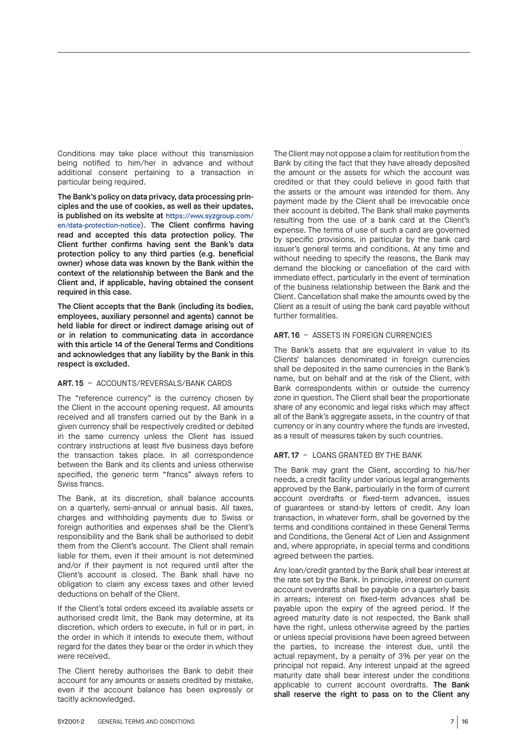Conditions may take place without this transmission being notified to him/her in advance and without additional consent pertaining to a transaction in particular being required.

The Bank's policy on data privacy, data processing principles and the use of cookies, as well as their updates, is published on its website at https://www.syzgroup.com/ en/data-protection-notice). The Client confirms having read and accepted this data protection policy. The Client further confirms having sent the Bank's data protection policy to any third parties (e.g. beneficial owner) whose data was known by the Bank within the context of the relationship between the Bank and the Client and, if applicable, having obtained the consent required in this case.

The Client accepts that the Bank (including its bodies, employees, auxiliary personnel and agents) cannot be held liable for direct or indirect damage arising out of or in relation to communicating data in accordance with this article 14 of the General Terms and Conditions and acknowledges that any liability by the Bank in this respect is excluded.

# **ART. 15** – ACCOUNTS/REVERSALS/BANK CARDS

The "reference currency" is the currency chosen by the Client in the account opening request. All amounts received and all transfers carried out by the Bank in a given currency shall be respectively credited or debited in the same currency unless the Client has issued contrary instructions at least five business days before the transaction takes place. In all correspondence between the Bank and its clients and unless otherwise specified, the generic term "francs" always refers to Swiss francs.

The Bank, at its discretion, shall balance accounts on a quarterly, semi-annual or annual basis. All taxes, charges and withholding payments due to Swiss or foreign authorities and expenses shall be the Client's responsibility and the Bank shall be authorised to debit them from the Client's account. The Client shall remain liable for them, even if their amount is not determined and/or if their payment is not required until after the Client's account is closed. The Bank shall have no obligation to claim any excess taxes and other levied deductions on behalf of the Client.

If the Client's total orders exceed its available assets or authorised credit limit, the Bank may determine, at its discretion, which orders to execute, in full or in part, in the order in which it intends to execute them, without regard for the dates they bear or the order in which they were received.

The Client hereby authorises the Bank to debit their account for any amounts or assets credited by mistake, even if the account balance has been expressly or tacitly acknowledged.

The Client may not oppose a claim for restitution from the Bank by citing the fact that they have already deposited the amount or the assets for which the account was credited or that they could believe in good faith that the assets or the amount was intended for them. Any payment made by the Client shall be irrevocable once their account is debited. The Bank shall make payments resulting from the use of a bank card at the Client's expense. The terms of use of such a card are governed by specific provisions, in particular by the bank card issuer's general terms and conditions. At any time and without needing to specify the reasons, the Bank may demand the blocking or cancellation of the card with immediate effect, particularly in the event of termination of the business relationship between the Bank and the Client. Cancellation shall make the amounts owed by the Client as a result of using the bank card payable without further formalities.

# **ART. 16** – ASSETS IN FOREIGN CURRENCIES

The Bank's assets that are equivalent in value to its Clients' balances denominated in foreign currencies shall be deposited in the same currencies in the Bank's name, but on behalf and at the risk of the Client, with Bank correspondents within or outside the currency zone in question. The Client shall bear the proportionate share of any economic and legal risks which may affect all of the Bank's aggregate assets, in the country of that currency or in any country where the funds are invested, as a result of measures taken by such countries.

#### **ART. 17** – LOANS GRANTED BY THE BANK

The Bank may grant the Client, according to his/her needs, a credit facility under various legal arrangements approved by the Bank, particularly in the form of current account overdrafts or fixed-term advances, issues of guarantees or stand-by letters of credit. Any loan transaction, in whatever form, shall be governed by the terms and conditions contained in these General Terms and Conditions, the General Act of Lien and Assignment and, where appropriate, in special terms and conditions agreed between the parties.

Any loan/credit granted by the Bank shall bear interest at the rate set by the Bank. In principle, interest on current account overdrafts shall be payable on a quarterly basis in arrears; interest on fixed-term advances shall be payable upon the expiry of the agreed period. If the agreed maturity date is not respected, the Bank shall have the right, unless otherwise agreed by the parties or unless special provisions have been agreed between the parties, to increase the interest due, until the actual repayment, by a penalty of 3% per year on the principal not repaid. Any interest unpaid at the agreed maturity date shall bear interest under the conditions applicable to current account overdrafts. The Bank shall reserve the right to pass on to the Client any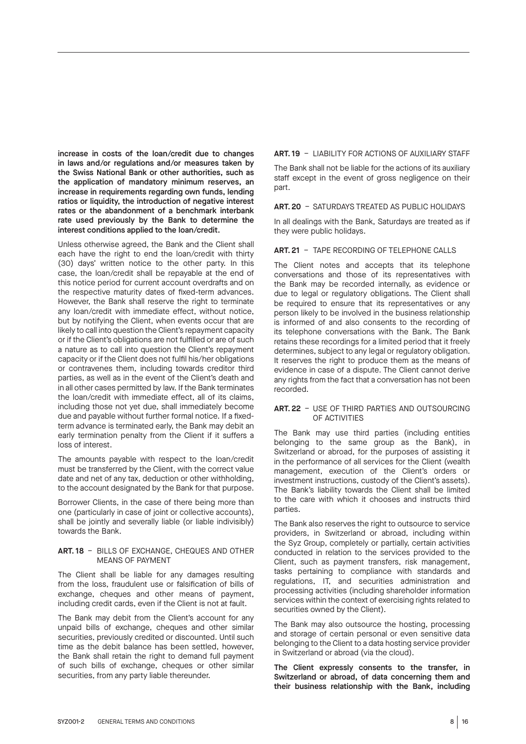increase in costs of the loan/credit due to changes in laws and/or regulations and/or measures taken by the Swiss National Bank or other authorities, such as the application of mandatory minimum reserves, an increase in requirements regarding own funds, lending ratios or liquidity, the introduction of negative interest rates or the abandonment of a benchmark interbank rate used previously by the Bank to determine the interest conditions applied to the loan/credit.

Unless otherwise agreed, the Bank and the Client shall each have the right to end the loan/credit with thirty (30) days' written notice to the other party. In this case, the loan/credit shall be repayable at the end of this notice period for current account overdrafts and on the respective maturity dates of fixed-term advances. However, the Bank shall reserve the right to terminate any loan/credit with immediate effect, without notice, but by notifying the Client, when events occur that are likely to call into question the Client's repayment capacity or if the Client's obligations are not fulfilled or are of such a nature as to call into question the Client's repayment capacity or if the Client does not fulfil his/her obligations or contravenes them, including towards creditor third parties, as well as in the event of the Client's death and in all other cases permitted by law. If the Bank terminates the loan/credit with immediate effect, all of its claims, including those not yet due, shall immediately become due and payable without further formal notice. If a fixedterm advance is terminated early, the Bank may debit an early termination penalty from the Client if it suffers a loss of interest.

The amounts payable with respect to the loan/credit must be transferred by the Client, with the correct value date and net of any tax, deduction or other withholding, to the account designated by the Bank for that purpose.

Borrower Clients, in the case of there being more than one (particularly in case of joint or collective accounts), shall be jointly and severally liable (or liable indivisibly) towards the Bank.

#### **ART. 18** – BILLS OF EXCHANGE, CHEQUES AND OTHER MEANS OF PAYMENT

The Client shall be liable for any damages resulting from the loss, fraudulent use or falsification of bills of exchange, cheques and other means of payment, including credit cards, even if the Client is not at fault.

The Bank may debit from the Client's account for any unpaid bills of exchange, cheques and other similar securities, previously credited or discounted. Until such time as the debit balance has been settled, however, the Bank shall retain the right to demand full payment of such bills of exchange, cheques or other similar securities, from any party liable thereunder.

### **ART. 19** – LIABILITY FOR ACTIONS OF AUXILIARY STAFF

The Bank shall not be liable for the actions of its auxiliary staff except in the event of gross negligence on their part.

**ART. 20** – SATURDAYS TREATED AS PUBLIC HOLIDAYS

In all dealings with the Bank, Saturdays are treated as if they were public holidays.

#### **ART. 21** – TAPE RECORDING OF TELEPHONE CALLS

The Client notes and accepts that its telephone conversations and those of its representatives with the Bank may be recorded internally, as evidence or due to legal or regulatory obligations. The Client shall be required to ensure that its representatives or any person likely to be involved in the business relationship is informed of and also consents to the recording of its telephone conversations with the Bank. The Bank retains these recordings for a limited period that it freely determines, subject to any legal or regulatory obligation. It reserves the right to produce them as the means of evidence in case of a dispute. The Client cannot derive any rights from the fact that a conversation has not been recorded.

#### **ART. 22** – USE OF THIRD PARTIES AND OUTSOURCING OF ACTIVITIES

The Bank may use third parties (including entities belonging to the same group as the Bank), in Switzerland or abroad, for the purposes of assisting it in the performance of all services for the Client (wealth management, execution of the Client's orders or investment instructions, custody of the Client's assets). The Bank's liability towards the Client shall be limited to the care with which it chooses and instructs third parties.

The Bank also reserves the right to outsource to service providers, in Switzerland or abroad, including within the Syz Group, completely or partially, certain activities conducted in relation to the services provided to the Client, such as payment transfers, risk management, tasks pertaining to compliance with standards and regulations, IT, and securities administration and processing activities (including shareholder information services within the context of exercising rights related to securities owned by the Client).

The Bank may also outsource the hosting, processing and storage of certain personal or even sensitive data belonging to the Client to a data hosting service provider in Switzerland or abroad (via the cloud).

The Client expressly consents to the transfer, in Switzerland or abroad, of data concerning them and their business relationship with the Bank, including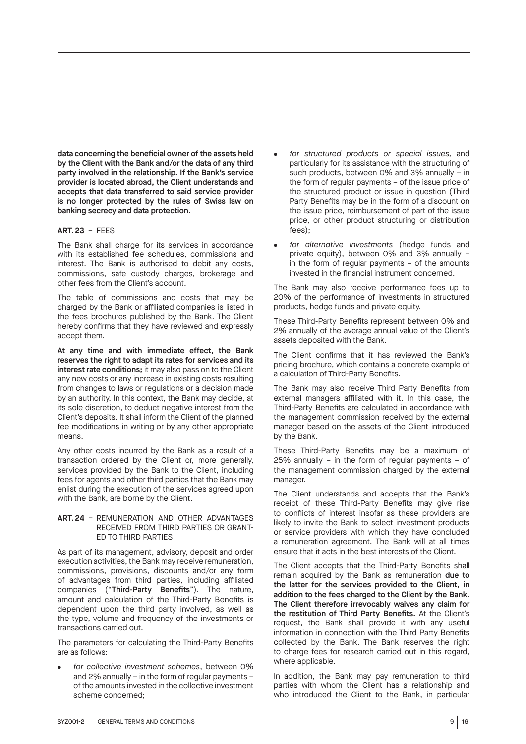data concerning the beneficial owner of the assets held by the Client with the Bank and/or the data of any third party involved in the relationship. If the Bank's service provider is located abroad, the Client understands and accepts that data transferred to said service provider is no longer protected by the rules of Swiss law on banking secrecy and data protection.

## **ART. 23** – FEES

The Bank shall charge for its services in accordance with its established fee schedules, commissions and interest. The Bank is authorised to debit any costs, commissions, safe custody charges, brokerage and other fees from the Client's account.

The table of commissions and costs that may be charged by the Bank or affiliated companies is listed in the fees brochures published by the Bank. The Client hereby confirms that they have reviewed and expressly accept them.

At any time and with immediate effect, the Bank reserves the right to adapt its rates for services and its interest rate conditions; it may also pass on to the Client any new costs or any increase in existing costs resulting from changes to laws or regulations or a decision made by an authority. In this context, the Bank may decide, at its sole discretion, to deduct negative interest from the Client's deposits. It shall inform the Client of the planned fee modifications in writing or by any other appropriate means.

Any other costs incurred by the Bank as a result of a transaction ordered by the Client or, more generally, services provided by the Bank to the Client, including fees for agents and other third parties that the Bank may enlist during the execution of the services agreed upon with the Bank, are borne by the Client.

#### **ART. 24** – REMUNERATION AND OTHER ADVANTAGES RECEIVED FROM THIRD PARTIES OR GRANT-ED TO THIRD PARTIES

As part of its management, advisory, deposit and order execution activities, the Bank may receive remuneration, commissions, provisions, discounts and/or any form of advantages from third parties, including affiliated companies ("Third-Party Benefits"). The nature, amount and calculation of the Third-Party Benefits is dependent upon the third party involved, as well as the type, volume and frequency of the investments or transactions carried out.

The parameters for calculating the Third-Party Benefits are as follows:

• *for collective investment schemes*, between 0% and 2% annually – in the form of regular payments – of the amounts invested in the collective investment scheme concerned;

- *for structured products or special issues,* and particularly for its assistance with the structuring of such products, between 0% and 3% annually – in the form of regular payments – of the issue price of the structured product or issue in question (Third Party Benefits may be in the form of a discount on the issue price, reimbursement of part of the issue price, or other product structuring or distribution fees);
- *for alternative investments* (hedge funds and private equity), between 0% and 3% annually – in the form of regular payments – of the amounts invested in the financial instrument concerned.

The Bank may also receive performance fees up to 20% of the performance of investments in structured products, hedge funds and private equity.

These Third-Party Benefits represent between 0% and 2% annually of the average annual value of the Client's assets deposited with the Bank.

The Client confirms that it has reviewed the Bank's pricing brochure, which contains a concrete example of a calculation of Third-Party Benefits.

The Bank may also receive Third Party Benefits from external managers affiliated with it. In this case, the Third-Party Benefits are calculated in accordance with the management commission received by the external manager based on the assets of the Client introduced by the Bank.

These Third-Party Benefits may be a maximum of 25% annually – in the form of regular payments – of the management commission charged by the external manager.

The Client understands and accepts that the Bank's receipt of these Third-Party Benefits may give rise to conflicts of interest insofar as these providers are likely to invite the Bank to select investment products or service providers with which they have concluded a remuneration agreement. The Bank will at all times ensure that it acts in the best interests of the Client.

The Client accepts that the Third-Party Benefits shall remain acquired by the Bank as remuneration due to the latter for the services provided to the Client, in addition to the fees charged to the Client by the Bank. The Client therefore irrevocably waives any claim for the restitution of Third Party Benefits. At the Client's request, the Bank shall provide it with any useful information in connection with the Third Party Benefits collected by the Bank. The Bank reserves the right to charge fees for research carried out in this regard, where applicable.

In addition, the Bank may pay remuneration to third parties with whom the Client has a relationship and who introduced the Client to the Bank, in particular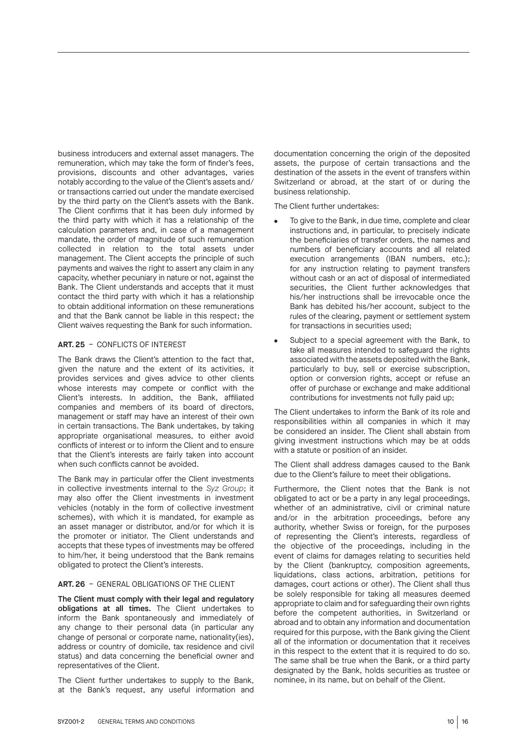business introducers and external asset managers. The remuneration, which may take the form of finder's fees, provisions, discounts and other advantages, varies notably according to the value of the Client's assets and/ or transactions carried out under the mandate exercised by the third party on the Client's assets with the Bank. The Client confirms that it has been duly informed by the third party with which it has a relationship of the calculation parameters and, in case of a management mandate, the order of magnitude of such remuneration collected in relation to the total assets under management. The Client accepts the principle of such payments and waives the right to assert any claim in any capacity, whether pecuniary in nature or not, against the Bank. The Client understands and accepts that it must contact the third party with which it has a relationship to obtain additional information on these remunerations and that the Bank cannot be liable in this respect; the Client waives requesting the Bank for such information.

#### **ART. 25** – CONFLICTS OF INTEREST

The Bank draws the Client's attention to the fact that, given the nature and the extent of its activities, it provides services and gives advice to other clients whose interests may compete or conflict with the Client's interests. In addition, the Bank, affiliated companies and members of its board of directors, management or staff may have an interest of their own in certain transactions. The Bank undertakes, by taking appropriate organisational measures, to either avoid conflicts of interest or to inform the Client and to ensure that the Client's interests are fairly taken into account when such conflicts cannot be avoided.

The Bank may in particular offer the Client investments in collective investments internal to the *Syz Group*; it may also offer the Client investments in investment vehicles (notably in the form of collective investment schemes), with which it is mandated, for example as an asset manager or distributor, and/or for which it is the promoter or initiator. The Client understands and accepts that these types of investments may be offered to him/her, it being understood that the Bank remains obligated to protect the Client's interests.

# **ART. 26** – GENERAL OBLIGATIONS OF THE CLIENT

The Client must comply with their legal and regulatory obligations at all times. The Client undertakes to inform the Bank spontaneously and immediately of any change to their personal data (in particular any change of personal or corporate name, nationality(ies), address or country of domicile, tax residence and civil status) and data concerning the beneficial owner and representatives of the Client.

The Client further undertakes to supply to the Bank, at the Bank's request, any useful information and documentation concerning the origin of the deposited assets, the purpose of certain transactions and the destination of the assets in the event of transfers within Switzerland or abroad, at the start of or during the business relationship.

The Client further undertakes:

- To give to the Bank, in due time, complete and clear instructions and, in particular, to precisely indicate the beneficiaries of transfer orders, the names and numbers of beneficiary accounts and all related execution arrangements (IBAN numbers, etc.); for any instruction relating to payment transfers without cash or an act of disposal of intermediated securities, the Client further acknowledges that his/her instructions shall be irrevocable once the Bank has debited his/her account, subject to the rules of the clearing, payment or settlement system for transactions in securities used;
- Subject to a special agreement with the Bank, to take all measures intended to safeguard the rights associated with the assets deposited with the Bank, particularly to buy, sell or exercise subscription, option or conversion rights, accept or refuse an offer of purchase or exchange and make additional contributions for investments not fully paid up;

The Client undertakes to inform the Bank of its role and responsibilities within all companies in which it may be considered an insider. The Client shall abstain from giving investment instructions which may be at odds with a statute or position of an insider.

The Client shall address damages caused to the Bank due to the Client's failure to meet their obligations.

Furthermore, the Client notes that the Bank is not obligated to act or be a party in any legal proceedings, whether of an administrative, civil or criminal nature and/or in the arbitration proceedings, before any authority, whether Swiss or foreign, for the purposes of representing the Client's interests, regardless of the objective of the proceedings, including in the event of claims for damages relating to securities held by the Client (bankruptcy, composition agreements, liquidations, class actions, arbitration, petitions for damages, court actions or other). The Client shall thus be solely responsible for taking all measures deemed appropriate to claim and for safeguarding their own rights before the competent authorities, in Switzerland or abroad and to obtain any information and documentation required for this purpose, with the Bank giving the Client all of the information or documentation that it receives in this respect to the extent that it is required to do so. The same shall be true when the Bank, or a third party designated by the Bank, holds securities as trustee or nominee, in its name, but on behalf of the Client.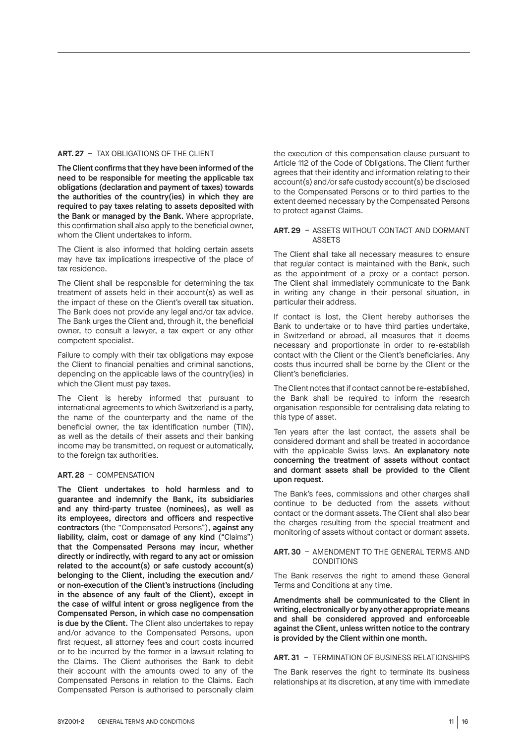#### **ART. 27** – TAX OBLIGATIONS OF THE CLIENT

The Client confirms that they have been informed of the need to be responsible for meeting the applicable tax obligations (declaration and payment of taxes) towards the authorities of the country(ies) in which they are required to pay taxes relating to assets deposited with the Bank or managed by the Bank. Where appropriate, this confirmation shall also apply to the beneficial owner, whom the Client undertakes to inform.

The Client is also informed that holding certain assets may have tax implications irrespective of the place of tax residence.

The Client shall be responsible for determining the tax treatment of assets held in their account(s) as well as the impact of these on the Client's overall tax situation. The Bank does not provide any legal and/or tax advice. The Bank urges the Client and, through it, the beneficial owner, to consult a lawyer, a tax expert or any other competent specialist.

Failure to comply with their tax obligations may expose the Client to financial penalties and criminal sanctions, depending on the applicable laws of the country(ies) in which the Client must pay taxes.

The Client is hereby informed that pursuant to international agreements to which Switzerland is a party, the name of the counterparty and the name of the beneficial owner, the tax identification number (TIN), as well as the details of their assets and their banking income may be transmitted, on request or automatically, to the foreign tax authorities.

#### **ART. 28** – COMPENSATION

The Client undertakes to hold harmless and to guarantee and indemnify the Bank, its subsidiaries and any third-party trustee (nominees), as well as its employees, directors and officers and respective contractors (the "Compensated Persons"), against any liability, claim, cost or damage of any kind ("Claims") that the Compensated Persons may incur, whether directly or indirectly, with regard to any act or omission related to the account(s) or safe custody account(s) belonging to the Client, including the execution and/ or non-execution of the Client's instructions (including in the absence of any fault of the Client), except in the case of wilful intent or gross negligence from the Compensated Person, in which case no compensation is due by the Client. The Client also undertakes to repay and/or advance to the Compensated Persons, upon first request, all attorney fees and court costs incurred or to be incurred by the former in a lawsuit relating to the Claims. The Client authorises the Bank to debit their account with the amounts owed to any of the Compensated Persons in relation to the Claims. Each Compensated Person is authorised to personally claim

the execution of this compensation clause pursuant to Article 112 of the Code of Obligations. The Client further agrees that their identity and information relating to their account(s) and/or safe custody account(s) be disclosed to the Compensated Persons or to third parties to the extent deemed necessary by the Compensated Persons to protect against Claims.

#### **ART. 29** – ASSETS WITHOUT CONTACT AND DORMANT **ASSETS**

The Client shall take all necessary measures to ensure that regular contact is maintained with the Bank, such as the appointment of a proxy or a contact person. The Client shall immediately communicate to the Bank in writing any change in their personal situation, in particular their address.

If contact is lost, the Client hereby authorises the Bank to undertake or to have third parties undertake, in Switzerland or abroad, all measures that it deems necessary and proportionate in order to re-establish contact with the Client or the Client's beneficiaries. Any costs thus incurred shall be borne by the Client or the Client's beneficiaries.

The Client notes that if contact cannot be re-established, the Bank shall be required to inform the research organisation responsible for centralising data relating to this type of asset.

Ten years after the last contact, the assets shall be considered dormant and shall be treated in accordance with the applicable Swiss laws. An explanatory note concerning the treatment of assets without contact and dormant assets shall be provided to the Client upon request.

The Bank's fees, commissions and other charges shall continue to be deducted from the assets without contact or the dormant assets. The Client shall also bear the charges resulting from the special treatment and monitoring of assets without contact or dormant assets.

#### **ART. 30** – AMENDMENT TO THE GENERAL TERMS AND **CONDITIONS**

The Bank reserves the right to amend these General Terms and Conditions at any time.

Amendments shall be communicated to the Client in writing, electronically or by any other appropriate means and shall be considered approved and enforceable against the Client, unless written notice to the contrary is provided by the Client within one month.

## **ART. 31** – TERMINATION OF BUSINESS RELATIONSHIPS

The Bank reserves the right to terminate its business relationships at its discretion, at any time with immediate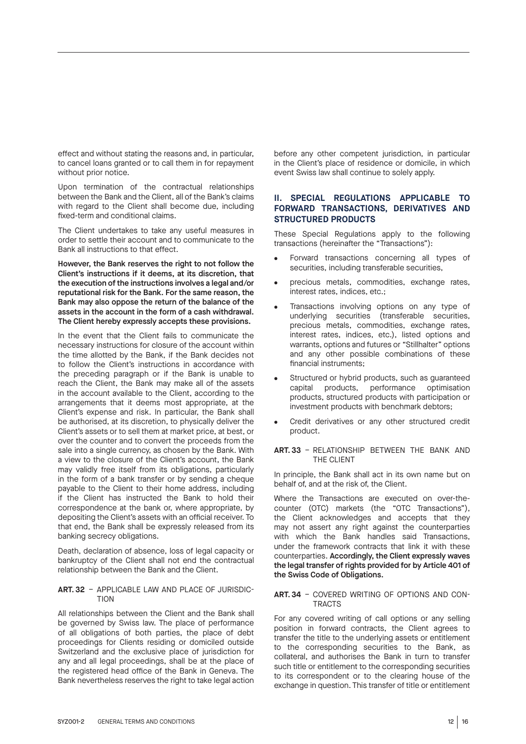effect and without stating the reasons and, in particular, to cancel loans granted or to call them in for repayment without prior notice.

Upon termination of the contractual relationships between the Bank and the Client, all of the Bank's claims with regard to the Client shall become due, including fixed-term and conditional claims.

The Client undertakes to take any useful measures in order to settle their account and to communicate to the Bank all instructions to that effect.

However, the Bank reserves the right to not follow the Client's instructions if it deems, at its discretion, that the execution of the instructions involves a legal and/or reputational risk for the Bank. For the same reason, the Bank may also oppose the return of the balance of the assets in the account in the form of a cash withdrawal. The Client hereby expressly accepts these provisions.

In the event that the Client fails to communicate the necessary instructions for closure of the account within the time allotted by the Bank, if the Bank decides not to follow the Client's instructions in accordance with the preceding paragraph or if the Bank is unable to reach the Client, the Bank may make all of the assets in the account available to the Client, according to the arrangements that it deems most appropriate, at the Client's expense and risk. In particular, the Bank shall be authorised, at its discretion, to physically deliver the Client's assets or to sell them at market price, at best, or over the counter and to convert the proceeds from the sale into a single currency, as chosen by the Bank. With a view to the closure of the Client's account, the Bank may validly free itself from its obligations, particularly in the form of a bank transfer or by sending a cheque payable to the Client to their home address, including if the Client has instructed the Bank to hold their correspondence at the bank or, where appropriate, by depositing the Client's assets with an official receiver. To that end, the Bank shall be expressly released from its banking secrecy obligations.

Death, declaration of absence, loss of legal capacity or bankruptcy of the Client shall not end the contractual relationship between the Bank and the Client.

#### **ART. 32** – APPLICABLE LAW AND PLACE OF JURISDIC-**TION**

All relationships between the Client and the Bank shall be governed by Swiss law. The place of performance of all obligations of both parties, the place of debt proceedings for Clients residing or domiciled outside Switzerland and the exclusive place of jurisdiction for any and all legal proceedings, shall be at the place of the registered head office of the Bank in Geneva. The Bank nevertheless reserves the right to take legal action

before any other competent jurisdiction, in particular in the Client's place of residence or domicile, in which event Swiss law shall continue to solely apply.

# **II. SPECIAL REGULATIONS APPLICABLE TO FORWARD TRANSACTIONS, DERIVATIVES AND STRUCTURED PRODUCTS**

These Special Regulations apply to the following transactions (hereinafter the "Transactions"):

- Forward transactions concerning all types of securities, including transferable securities,
- precious metals, commodities, exchange rates, interest rates, indices, etc.;
- Transactions involving options on any type of underlying securities (transferable securities, precious metals, commodities, exchange rates, interest rates, indices, etc.), listed options and warrants, options and futures or "Stillhalter" options and any other possible combinations of these financial instruments;
- Structured or hybrid products, such as guaranteed capital products, performance optimisation products, structured products with participation or investment products with benchmark debtors;
- Credit derivatives or any other structured credit product.

#### **ART. 33** – RELATIONSHIP BETWEEN THE BANK AND THE CLIENT

In principle, the Bank shall act in its own name but on behalf of, and at the risk of, the Client.

Where the Transactions are executed on over-thecounter (OTC) markets (the "OTC Transactions"), the Client acknowledges and accepts that they may not assert any right against the counterparties with which the Bank handles said Transactions, under the framework contracts that link it with these counterparties. Accordingly, the Client expressly waves the legal transfer of rights provided for by Article 401 of the Swiss Code of Obligations.

#### **ART. 34** – COVERED WRITING OF OPTIONS AND CON-**TRACTS**

For any covered writing of call options or any selling position in forward contracts, the Client agrees to transfer the title to the underlying assets or entitlement to the corresponding securities to the Bank, as collateral, and authorises the Bank in turn to transfer such title or entitlement to the corresponding securities to its correspondent or to the clearing house of the exchange in question. This transfer of title or entitlement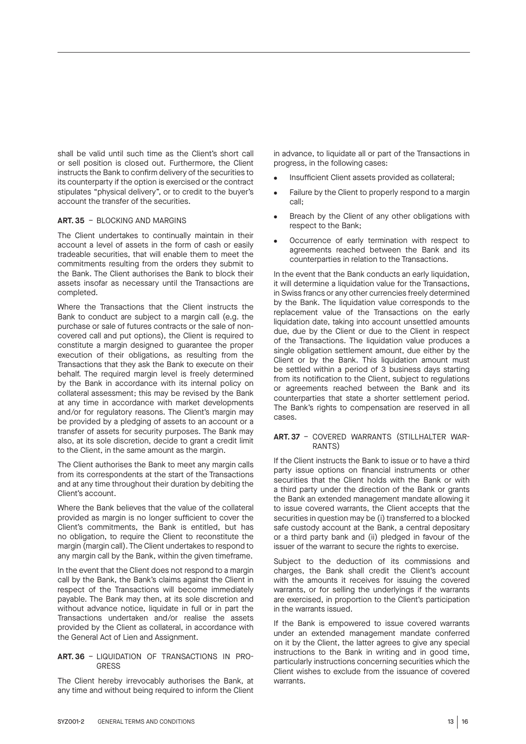shall be valid until such time as the Client's short call or sell position is closed out. Furthermore, the Client instructs the Bank to confirm delivery of the securities to its counterparty if the option is exercised or the contract stipulates "physical delivery", or to credit to the buyer's account the transfer of the securities.

#### **ART. 35** – BLOCKING AND MARGINS

The Client undertakes to continually maintain in their account a level of assets in the form of cash or easily tradeable securities, that will enable them to meet the commitments resulting from the orders they submit to the Bank. The Client authorises the Bank to block their assets insofar as necessary until the Transactions are completed.

Where the Transactions that the Client instructs the Bank to conduct are subject to a margin call (e.g. the purchase or sale of futures contracts or the sale of noncovered call and put options), the Client is required to constitute a margin designed to guarantee the proper execution of their obligations, as resulting from the Transactions that they ask the Bank to execute on their behalf. The required margin level is freely determined by the Bank in accordance with its internal policy on collateral assessment; this may be revised by the Bank at any time in accordance with market developments and/or for regulatory reasons. The Client's margin may be provided by a pledging of assets to an account or a transfer of assets for security purposes. The Bank may also, at its sole discretion, decide to grant a credit limit to the Client, in the same amount as the margin.

The Client authorises the Bank to meet any margin calls from its correspondents at the start of the Transactions and at any time throughout their duration by debiting the Client's account.

Where the Bank believes that the value of the collateral provided as margin is no longer sufficient to cover the Client's commitments, the Bank is entitled, but has no obligation, to require the Client to reconstitute the margin (margin call). The Client undertakes to respond to any margin call by the Bank, within the given timeframe.

In the event that the Client does not respond to a margin call by the Bank, the Bank's claims against the Client in respect of the Transactions will become immediately payable. The Bank may then, at its sole discretion and without advance notice, liquidate in full or in part the Transactions undertaken and/or realise the assets provided by the Client as collateral, in accordance with the General Act of Lien and Assignment.

#### **ART. 36** – LIQUIDATION OF TRANSACTIONS IN PRO-GRESS

The Client hereby irrevocably authorises the Bank, at any time and without being required to inform the Client in advance, to liquidate all or part of the Transactions in progress, in the following cases:

- Insufficient Client assets provided as collateral;
- Failure by the Client to properly respond to a margin call;
- Breach by the Client of any other obligations with respect to the Bank;
- Occurrence of early termination with respect to agreements reached between the Bank and its counterparties in relation to the Transactions.

In the event that the Bank conducts an early liquidation, it will determine a liquidation value for the Transactions, in Swiss francs or any other currencies freely determined by the Bank. The liquidation value corresponds to the replacement value of the Transactions on the early liquidation date, taking into account unsettled amounts due, due by the Client or due to the Client in respect of the Transactions. The liquidation value produces a single obligation settlement amount, due either by the Client or by the Bank. This liquidation amount must be settled within a period of 3 business days starting from its notification to the Client, subject to regulations or agreements reached between the Bank and its counterparties that state a shorter settlement period. The Bank's rights to compensation are reserved in all cases.

#### **ART. 37** – COVERED WARRANTS (STILLHALTER WAR-RANTS)

If the Client instructs the Bank to issue or to have a third party issue options on financial instruments or other securities that the Client holds with the Bank or with a third party under the direction of the Bank or grants the Bank an extended management mandate allowing it to issue covered warrants, the Client accepts that the securities in question may be (i) transferred to a blocked safe custody account at the Bank, a central depositary or a third party bank and (ii) pledged in favour of the issuer of the warrant to secure the rights to exercise.

Subject to the deduction of its commissions and charges, the Bank shall credit the Client's account with the amounts it receives for issuing the covered warrants, or for selling the underlyings if the warrants are exercised, in proportion to the Client's participation in the warrants issued.

If the Bank is empowered to issue covered warrants under an extended management mandate conferred on it by the Client, the latter agrees to give any special instructions to the Bank in writing and in good time, particularly instructions concerning securities which the Client wishes to exclude from the issuance of covered warrants.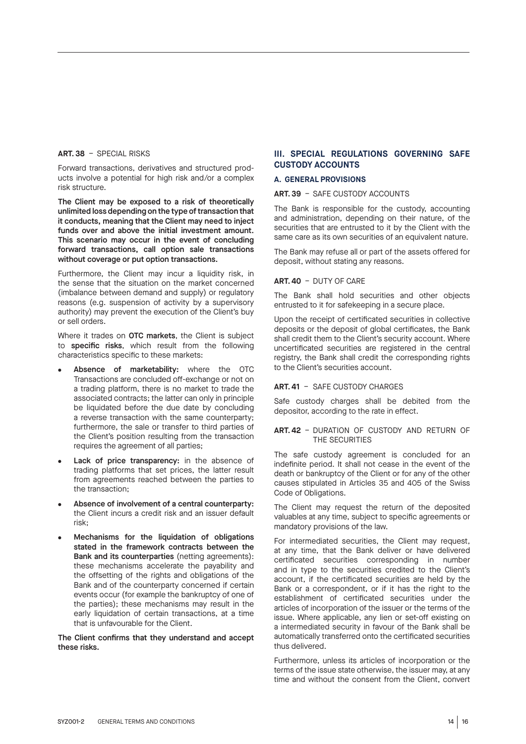#### **ART. 38** – SPECIAL RISKS

Forward transactions, derivatives and structured products involve a potential for high risk and/or a complex risk structure.

The Client may be exposed to a risk of theoretically unlimited loss depending on the type of transaction that it conducts, meaning that the Client may need to inject funds over and above the initial investment amount. This scenario may occur in the event of concluding forward transactions, call option sale transactions without coverage or put option transactions.

Furthermore, the Client may incur a liquidity risk, in the sense that the situation on the market concerned (imbalance between demand and supply) or regulatory reasons (e.g. suspension of activity by a supervisory authority) may prevent the execution of the Client's buy or sell orders.

Where it trades on OTC markets, the Client is subject to specific risks, which result from the following characteristics specific to these markets:

- Absence of marketability: where the OTC Transactions are concluded off-exchange or not on a trading platform, there is no market to trade the associated contracts; the latter can only in principle be liquidated before the due date by concluding a reverse transaction with the same counterparty; furthermore, the sale or transfer to third parties of the Client's position resulting from the transaction requires the agreement of all parties;
- Lack of price transparency: in the absence of trading platforms that set prices, the latter result from agreements reached between the parties to the transaction;
- Absence of involvement of a central counterparty: the Client incurs a credit risk and an issuer default risk;
- Mechanisms for the liquidation of obligations stated in the framework contracts between the Bank and its counterparties (netting agreements): these mechanisms accelerate the payability and the offsetting of the rights and obligations of the Bank and of the counterparty concerned if certain events occur (for example the bankruptcy of one of the parties); these mechanisms may result in the early liquidation of certain transactions, at a time that is unfavourable for the Client.

The Client confirms that they understand and accept these risks.

# **III. SPECIAL REGULATIONS GOVERNING SAFE CUSTODY ACCOUNTS**

## **A. GENERAL PROVISIONS**

#### **ART. 39** – SAFE CUSTODY ACCOUNTS

The Bank is responsible for the custody, accounting and administration, depending on their nature, of the securities that are entrusted to it by the Client with the same care as its own securities of an equivalent nature.

The Bank may refuse all or part of the assets offered for deposit, without stating any reasons.

#### **ART. 40** – DUTY OF CARE

The Bank shall hold securities and other objects entrusted to it for safekeeping in a secure place.

Upon the receipt of certificated securities in collective deposits or the deposit of global certificates, the Bank shall credit them to the Client's security account. Where uncertificated securities are registered in the central registry, the Bank shall credit the corresponding rights to the Client's securities account.

#### **ART. 41** – SAFE CUSTODY CHARGES

Safe custody charges shall be debited from the depositor, according to the rate in effect.

#### **ART. 42** – DURATION OF CUSTODY AND RETURN OF THE SECURITIES

The safe custody agreement is concluded for an indefinite period. It shall not cease in the event of the death or bankruptcy of the Client or for any of the other causes stipulated in Articles 35 and 405 of the Swiss Code of Obligations.

The Client may request the return of the deposited valuables at any time, subject to specific agreements or mandatory provisions of the law.

For intermediated securities, the Client may request, at any time, that the Bank deliver or have delivered certificated securities corresponding in number and in type to the securities credited to the Client's account, if the certificated securities are held by the Bank or a correspondent, or if it has the right to the establishment of certificated securities under the articles of incorporation of the issuer or the terms of the issue. Where applicable, any lien or set-off existing on a intermediated security in favour of the Bank shall be automatically transferred onto the certificated securities thus delivered.

Furthermore, unless its articles of incorporation or the terms of the issue state otherwise, the issuer may, at any time and without the consent from the Client, convert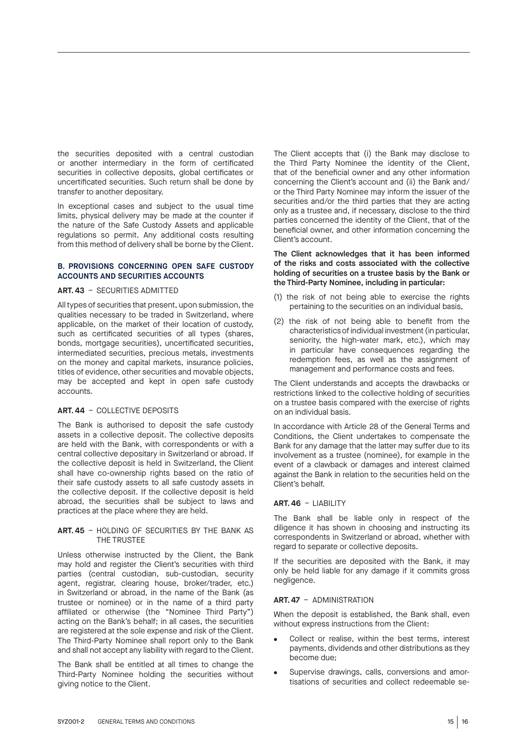the securities deposited with a central custodian or another intermediary in the form of certificated securities in collective deposits, global certificates or uncertificated securities. Such return shall be done by transfer to another depositary.

In exceptional cases and subject to the usual time limits, physical delivery may be made at the counter if the nature of the Safe Custody Assets and applicable regulations so permit. Any additional costs resulting from this method of delivery shall be borne by the Client.

#### **B. PROVISIONS CONCERNING OPEN SAFE CUSTODY ACCOUNTS AND SECURITIES ACCOUNTS**

#### **ART. 43** – SECURITIES ADMITTED

All types of securities that present, upon submission, the qualities necessary to be traded in Switzerland, where applicable, on the market of their location of custody, such as certificated securities of all types (shares, bonds, mortgage securities), uncertificated securities, intermediated securities, precious metals, investments on the money and capital markets, insurance policies, titles of evidence, other securities and movable objects, may be accepted and kept in open safe custody accounts.

# **ART. 44** – COLLECTIVE DEPOSITS

The Bank is authorised to deposit the safe custody assets in a collective deposit. The collective deposits are held with the Bank, with correspondents or with a central collective depositary in Switzerland or abroad. If the collective deposit is held in Switzerland, the Client shall have co-ownership rights based on the ratio of their safe custody assets to all safe custody assets in the collective deposit. If the collective deposit is held abroad, the securities shall be subject to laws and practices at the place where they are held.

#### **ART. 45** – HOLDING OF SECURITIES BY THE BANK AS THE TRUSTEE

Unless otherwise instructed by the Client, the Bank may hold and register the Client's securities with third parties (central custodian, sub-custodian, security agent, registrar, clearing house, broker/trader, etc.) in Switzerland or abroad, in the name of the Bank (as trustee or nominee) or in the name of a third party affiliated or otherwise (the "Nominee Third Party") acting on the Bank's behalf; in all cases, the securities are registered at the sole expense and risk of the Client. The Third-Party Nominee shall report only to the Bank and shall not accept any liability with regard to the Client.

The Bank shall be entitled at all times to change the Third-Party Nominee holding the securities without giving notice to the Client.

The Client accepts that (i) the Bank may disclose to the Third Party Nominee the identity of the Client, that of the beneficial owner and any other information concerning the Client's account and (ii) the Bank and/ or the Third Party Nominee may inform the issuer of the securities and/or the third parties that they are acting only as a trustee and, if necessary, disclose to the third parties concerned the identity of the Client, that of the beneficial owner, and other information concerning the Client's account.

#### The Client acknowledges that it has been informed of the risks and costs associated with the collective holding of securities on a trustee basis by the Bank or the Third-Party Nominee, including in particular:

- (1) the risk of not being able to exercise the rights pertaining to the securities on an individual basis,
- (2) the risk of not being able to benefit from the characteristics of individual investment (in particular, seniority, the high-water mark, etc.), which may in particular have consequences regarding the redemption fees, as well as the assignment of management and performance costs and fees.

The Client understands and accepts the drawbacks or restrictions linked to the collective holding of securities on a trustee basis compared with the exercise of rights on an individual basis.

In accordance with Article 28 of the General Terms and Conditions, the Client undertakes to compensate the Bank for any damage that the latter may suffer due to its involvement as a trustee (nominee), for example in the event of a clawback or damages and interest claimed against the Bank in relation to the securities held on the Client's behalf.

#### **ART. 46** – LIABILITY

The Bank shall be liable only in respect of the diligence it has shown in choosing and instructing its correspondents in Switzerland or abroad, whether with regard to separate or collective deposits.

If the securities are deposited with the Bank, it may only be held liable for any damage if it commits gross negligence.

#### **ART. 47** – ADMINISTRATION

When the deposit is established, the Bank shall, even without express instructions from the Client:

- Collect or realise, within the best terms, interest payments, dividends and other distributions as they become due;
- Supervise drawings, calls, conversions and amortisations of securities and collect redeemable se-